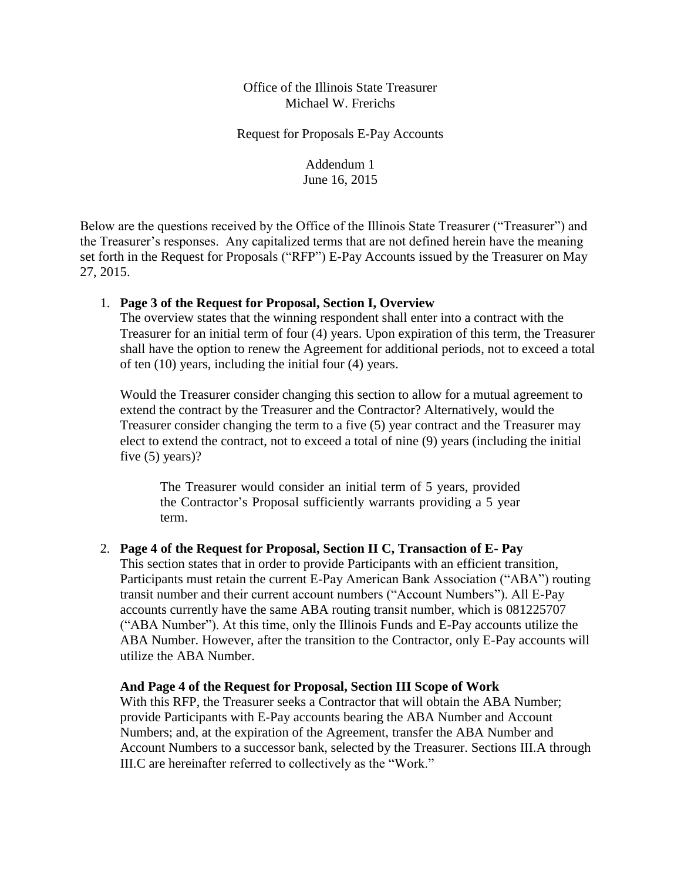Office of the Illinois State Treasurer Michael W. Frerichs

Request for Proposals E-Pay Accounts

Addendum 1 June 16, 2015

Below are the questions received by the Office of the Illinois State Treasurer ("Treasurer") and the Treasurer's responses. Any capitalized terms that are not defined herein have the meaning set forth in the Request for Proposals ("RFP") E-Pay Accounts issued by the Treasurer on May 27, 2015.

### 1. **Page 3 of the Request for Proposal, Section I, Overview**

The overview states that the winning respondent shall enter into a contract with the Treasurer for an initial term of four (4) years. Upon expiration of this term, the Treasurer shall have the option to renew the Agreement for additional periods, not to exceed a total of ten (10) years, including the initial four (4) years.

 five (5) years)? Would the Treasurer consider changing this section to allow for a mutual agreement to extend the contract by the Treasurer and the Contractor? Alternatively, would the Treasurer consider changing the term to a five (5) year contract and the Treasurer may elect to extend the contract, not to exceed a total of nine (9) years (including the initial

 the Contractor's Proposal sufficiently warrants providing a 5 year The Treasurer would consider an initial term of 5 years, provided term.

### 2. Page 4 of the Request for Proposal, Section II C, Transaction of E- Pay

 accounts currently have the same ABA routing transit number, which is 081225707 This section states that in order to provide Participants with an efficient transition, Participants must retain the current E-Pay American Bank Association ("ABA") routing transit number and their current account numbers ("Account Numbers"). All E-Pay ("ABA Number"). At this time, only the Illinois Funds and E-Pay accounts utilize the ABA Number. However, after the transition to the Contractor, only E-Pay accounts will utilize the ABA Number.

### **And Page 4 of the Request for Proposal, Section III Scope of Work**

With this RFP, the Treasurer seeks a Contractor that will obtain the ABA Number; provide Participants with E-Pay accounts bearing the ABA Number and Account Numbers; and, at the expiration of the Agreement, transfer the ABA Number and Account Numbers to a successor bank, selected by the Treasurer. Sections III.A through III.C are hereinafter referred to collectively as the "Work."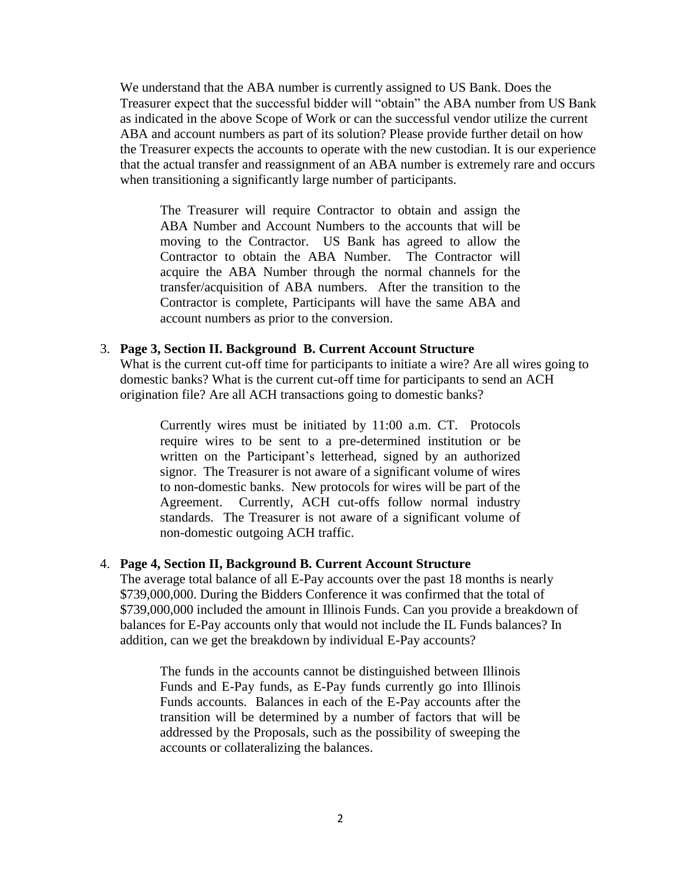as indicated in the above Scope of Work or can the successful vendor utilize the current when transitioning a significantly large number of participants. We understand that the ABA number is currently assigned to US Bank. Does the Treasurer expect that the successful bidder will "obtain" the ABA number from US Bank ABA and account numbers as part of its solution? Please provide further detail on how the Treasurer expects the accounts to operate with the new custodian. It is our experience that the actual transfer and reassignment of an ABA number is extremely rare and occurs

 The Treasurer will require Contractor to obtain and assign the ABA Number and Account Numbers to the accounts that will be Contractor to obtain the ABA Number. The Contractor will acquire the ABA Number through the normal channels for the transfer/acquisition of ABA numbers. After the transition to the Contractor is complete, Participants will have the same ABA and moving to the Contractor. US Bank has agreed to allow the account numbers as prior to the conversion.

### 3. **Page 3, Section II. Background B. Current Account Structure**

What is the current cut-off time for participants to initiate a wire? Are all wires going to domestic banks? What is the current cut-off time for participants to send an ACH origination file? Are all ACH transactions going to domestic banks?

 Currently wires must be initiated by 11:00 a.m. CT. Protocols require wires to be sent to a pre-determined institution or be written on the Participant's letterhead, signed by an authorized signor. The Treasurer is not aware of a significant volume of wires to non-domestic banks. New protocols for wires will be part of the Agreement. Currently, ACH cut-offs follow normal industry standards. The Treasurer is not aware of a significant volume of non-domestic outgoing ACH traffic.

#### 4. **Page 4, Section II, Background B. Current Account Structure**

 balances for E-Pay accounts only that would not include the IL Funds balances? In addition, can we get the breakdown by individual E-Pay accounts? The average total balance of all E-Pay accounts over the past 18 months is nearly \$739,000,000. During the Bidders Conference it was confirmed that the total of \$739,000,000 included the amount in Illinois Funds. Can you provide a breakdown of

 The funds in the accounts cannot be distinguished between Illinois Funds and E-Pay funds, as E-Pay funds currently go into Illinois Funds accounts. Balances in each of the E-Pay accounts after the transition will be determined by a number of factors that will be addressed by the Proposals, such as the possibility of sweeping the accounts or collateralizing the balances.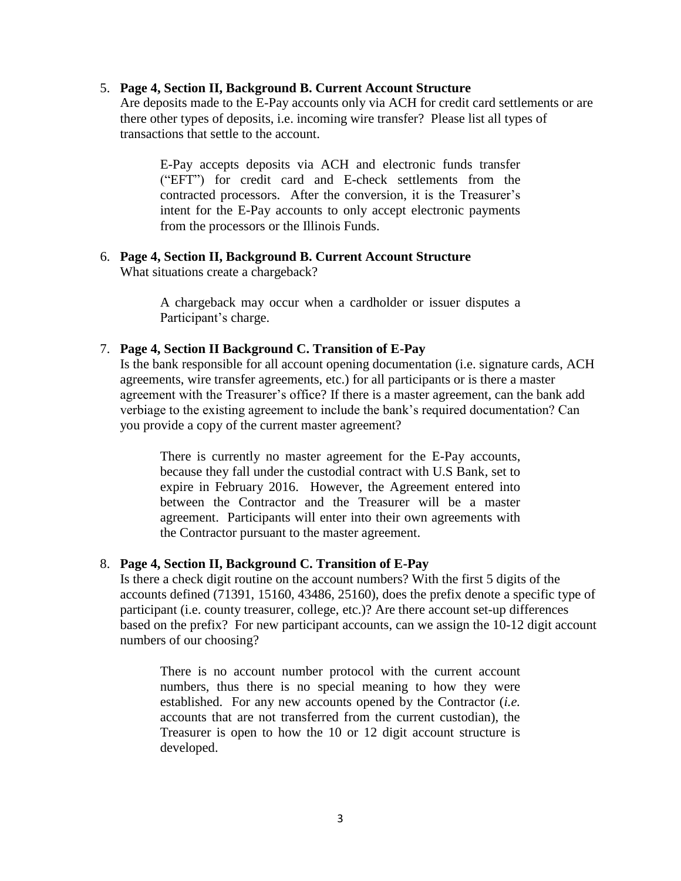### 5. **Page 4, Section II, Background B. Current Account Structure**

 Are deposits made to the E-Pay accounts only via ACH for credit card settlements or are there other types of deposits, i.e. incoming wire transfer? Please list all types of transactions that settle to the account.

 ("EFT") for credit card and E-check settlements from the contracted processors. After the conversion, it is the Treasurer's intent for the E-Pay accounts to only accept electronic payments E-Pay accepts deposits via ACH and electronic funds transfer from the processors or the Illinois Funds.

6. **Page 4, Section II, Background B. Current Account Structure**  What situations create a chargeback?

> A chargeback may occur when a cardholder or issuer disputes a Participant's charge.

### 7. **Page 4, Section II Background C. Transition of E-Pay**

 agreements, wire transfer agreements, etc.) for all participants or is there a master you provide a copy of the current master agreement? Is the bank responsible for all account opening documentation (i.e. signature cards, ACH agreement with the Treasurer's office? If there is a master agreement, can the bank add verbiage to the existing agreement to include the bank's required documentation? Can

 There is currently no master agreement for the E-Pay accounts, because they fall under the custodial contract with U.S Bank, set to expire in February 2016. However, the Agreement entered into between the Contractor and the Treasurer will be a master agreement. Participants will enter into their own agreements with the Contractor pursuant to the master agreement.

### 8. **Page 4, Section II, Background C. Transition of E-Pay**

 based on the prefix? For new participant accounts, can we assign the 10-12 digit account Is there a check digit routine on the account numbers? With the first 5 digits of the accounts defined (71391, 15160, 43486, 25160), does the prefix denote a specific type of participant (i.e. county treasurer, college, etc.)? Are there account set-up differences numbers of our choosing?

 numbers, thus there is no special meaning to how they were established. For any new accounts opened by the Contractor (*i.e.*  accounts that are not transferred from the current custodian), the Treasurer is open to how the 10 or 12 digit account structure is There is no account number protocol with the current account developed.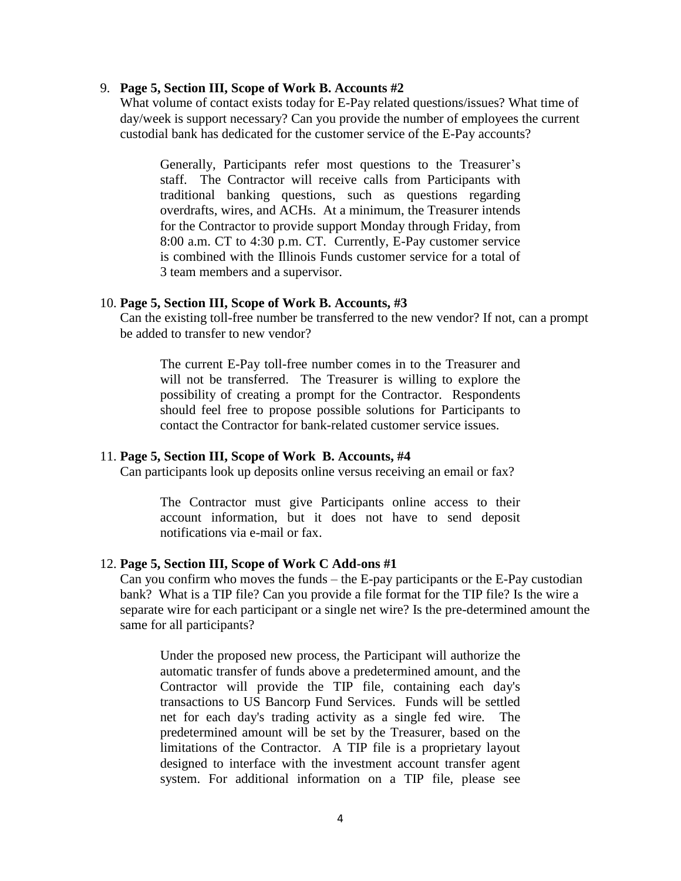### 9. **Page 5, Section III, Scope of Work B. Accounts #2**

 custodial bank has dedicated for the customer service of the E-Pay accounts? What volume of contact exists today for E-Pay related questions/issues? What time of day/week is support necessary? Can you provide the number of employees the current

 Generally, Participants refer most questions to the Treasurer's staff. The Contractor will receive calls from Participants with traditional banking questions, such as questions regarding overdrafts, wires, and ACHs. At a minimum, the Treasurer intends for the Contractor to provide support Monday through Friday, from 8:00 a.m. CT to 4:30 p.m. CT. Currently, E-Pay customer service is combined with the Illinois Funds customer service for a total of 3 team members and a supervisor.

#### 10. **Page 5, Section III, Scope of Work B. Accounts, #3**

Can the existing toll-free number be transferred to the new vendor? If not, can a prompt be added to transfer to new vendor?

 The current E-Pay toll-free number comes in to the Treasurer and will not be transferred. The Treasurer is willing to explore the possibility of creating a prompt for the Contractor. Respondents should feel free to propose possible solutions for Participants to contact the Contractor for bank-related customer service issues.

### 11. **Page 5, Section III, Scope of Work B. Accounts, #4**

Can participants look up deposits online versus receiving an email or fax?

notifications via e-mail or fax. The Contractor must give Participants online access to their account information, but it does not have to send deposit

### 12. Page 5, Section III, Scope of Work C Add-ons #1

 Can you confirm who moves the funds – the E-pay participants or the E-Pay custodian bank? What is a TIP file? Can you provide a file format for the TIP file? Is the wire a separate wire for each participant or a single net wire? Is the pre-determined amount the same for all participants?

 Under the proposed new process, the Participant will authorize the automatic transfer of funds above a predetermined amount, and the Contractor will provide the TIP file, containing each day's transactions to US Bancorp Fund Services. Funds will be settled net for each day's trading activity as a single fed wire. The predetermined amount will be set by the Treasurer, based on the limitations of the Contractor. A TIP file is a proprietary layout designed to interface with the investment account transfer agent system. For additional information on a TIP file, please see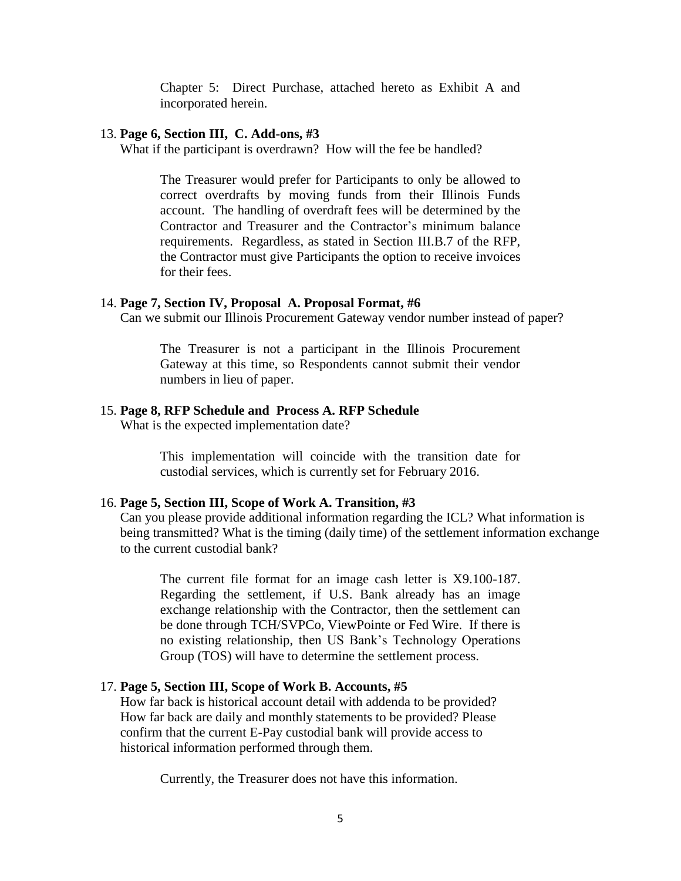Chapter 5: Direct Purchase, attached hereto as Exhibit A and incorporated herein.

### 13. **Page 6, Section III, C. Add-ons, #3**

What if the participant is overdrawn? How will the fee be handled?

 The Treasurer would prefer for Participants to only be allowed to correct overdrafts by moving funds from their Illinois Funds account. The handling of overdraft fees will be determined by the Contractor and Treasurer and the Contractor's minimum balance requirements. Regardless, as stated in Section III.B.7 of the RFP, the Contractor must give Participants the option to receive invoices for their fees.

#### 14. **Page 7, Section IV, Proposal A. Proposal Format, #6**

Can we submit our Illinois Procurement Gateway vendor number instead of paper?

 Gateway at this time, so Respondents cannot submit their vendor The Treasurer is not a participant in the Illinois Procurement numbers in lieu of paper.

### 15. **Page 8, RFP Schedule and Process A. RFP Schedule**

What is the expected implementation date?

 This implementation will coincide with the transition date for custodial services, which is currently set for February 2016.

### 16. **Page 5, Section III, Scope of Work A. Transition, #3**

Can you please provide additional information regarding the ICL? What information is being transmitted? What is the timing (daily time) of the settlement information exchange to the current custodial bank?

 The current file format for an image cash letter is X9.100-187. Regarding the settlement, if U.S. Bank already has an image be done through TCH/SVPCo, ViewPointe or Fed Wire. If there is exchange relationship with the Contractor, then the settlement can no existing relationship, then US Bank's Technology Operations Group (TOS) will have to determine the settlement process.

### 17. **Page 5, Section III, Scope of Work B. Accounts, #5**

How far back is historical account detail with addenda to be provided? How far back are daily and monthly statements to be provided? Please confirm that the current E-Pay custodial bank will provide access to historical information performed through them.

Currently, the Treasurer does not have this information.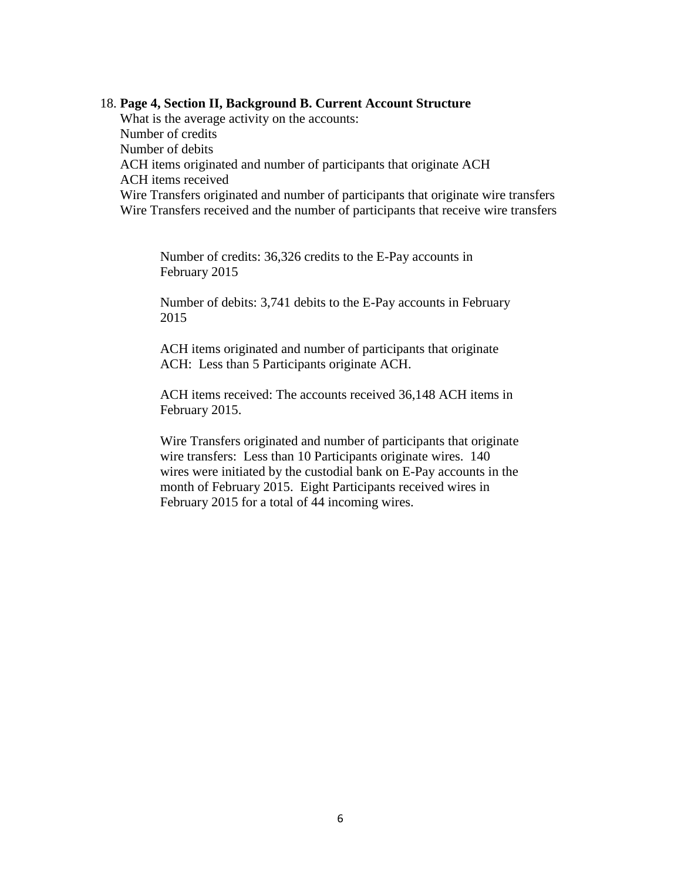### 18. **Page 4, Section II, Background B. Current Account Structure**

 ACH items originated and number of participants that originate ACH What is the average activity on the accounts: Number of credits Number of debits ACH items received Wire Transfers originated and number of participants that originate wire transfers Wire Transfers received and the number of participants that receive wire transfers

Number of credits: 36,326 credits to the E-Pay accounts in February 2015

Number of debits: 3,741 debits to the E-Pay accounts in February 2015

 ACH: Less than 5 Participants originate ACH. ACH items originated and number of participants that originate

ACH items received: The accounts received 36,148 ACH items in February 2015.

 month of February 2015. Eight Participants received wires in Wire Transfers originated and number of participants that originate wire transfers: Less than 10 Participants originate wires. 140 wires were initiated by the custodial bank on E-Pay accounts in the February 2015 for a total of 44 incoming wires.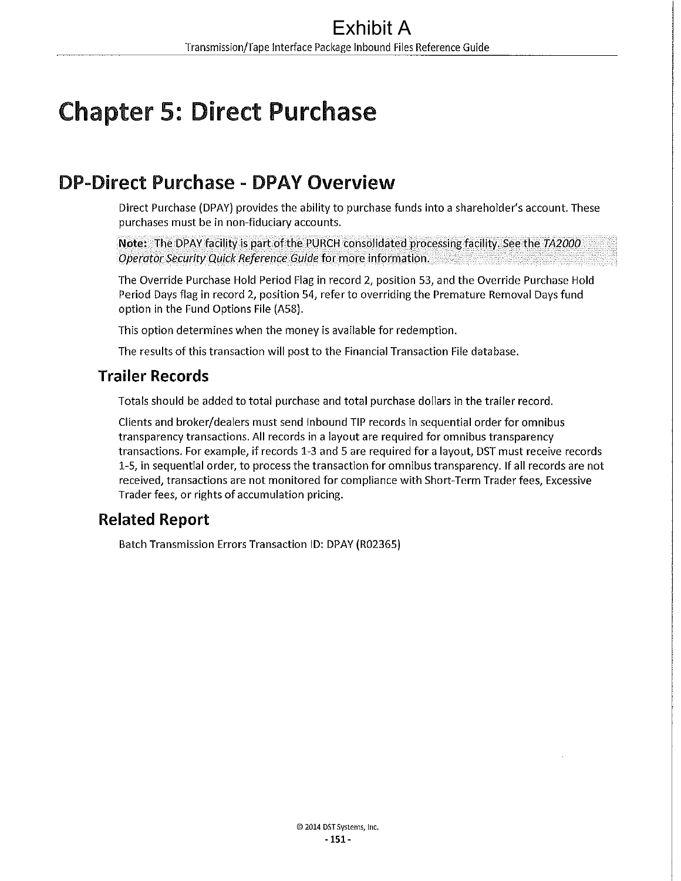# Chapter 5: Direct Purchase

## **DP-Direct Purchase** - **DPAY Overview**

Direct Purchase (DPAY) provides the ability to purchase funds into a shareholder's account. These purchases must be in non-fiduciary accounts.

**Note:** The DPAY facility is part of the PURCH consolidated processing facility. See the TA2000 *Operator Security Quick Reference Guide* for.more information.

The Override Purchase Hold Period Flag in record 2, position 53, and the Override Purchase Hold Period Days flag in record 2, position 54, refer to overriding the Premature Removal Days fund option in the Fund Options File (ASS).

This option determines when the money is available for redemption.

The results of this transaction will post to the Financial Transaction File database.

### **Trailer Records**

Totals should be added to total purchase and total purchase dollars in the trailer record.

Clients and broker/dealers must send Inbound TIP records in sequential order for omnibus transparency transactions. All records in a layout are required for omnibus transparency transactions. For example, if records 1-3 and 5 are required for a layout, DST must receive records 1-5, in sequential order, to process the transaction for omnibus transparency. If all records are not received, transactions are not monitored for compliance with Short-Term Trader fees, Excessive Trader fees, or rights of accumulation pricing.

## **Related Report**

Batch Transmission Errors Transaction ID: DPAY (R02365)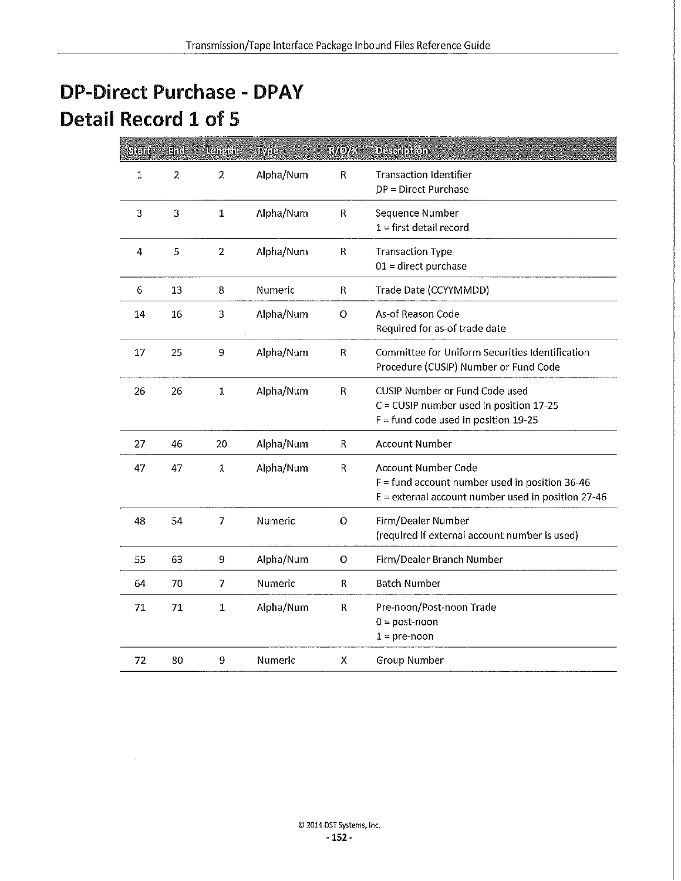## **DP-Direct Purchase - DPAY Detail Record 1 of 5**

| Sicial | <b>End:</b>    | । दिन प्रति ।  | wpe       | <b>Gyloyek</b> | <b>Description</b>                                                                                                              |
|--------|----------------|----------------|-----------|----------------|---------------------------------------------------------------------------------------------------------------------------------|
| 1      | $\overline{2}$ | 2              | Alpha/Num | R              | <b>Transaction Identifier</b><br>DP = Direct Purchase                                                                           |
| 3      | 3              | $\mathbf 1$    | Alpha/Num | R              | Sequence Number<br>$1 =$ first detail record                                                                                    |
| 4      | 5              | $\overline{2}$ | Alpha/Num | R              | <b>Transaction Type</b><br>$01$ = direct purchase                                                                               |
| 6      | 13             | 8              | Numeric   | R              | Trade Date (CCYYMMDD)                                                                                                           |
| 14     | 16             | 3              | Alpha/Num | $\circ$        | As-of Reason Code<br>Required for as-of trade date                                                                              |
| 17     | 25             | 9              | Alpha/Num | R              | Committee for Uniform Securities Identification<br>Procedure (CUSIP) Number or Fund Code                                        |
| 26     | 26             | $\mathbf{1}$   | Alpha/Num | R              | CUSIP Number or Fund Code used<br>C = CUSIP number used in position 17-25<br>$F =$ fund code used in position 19-25             |
| 27     | 46             | 20             | Alpha/Num | $\mathsf{R}$   | <b>Account Number</b>                                                                                                           |
| 47     | 47             | $\mathbf 1$    | Alpha/Num | $\mathsf{R}$   | Account Number Code<br>$F =$ fund account number used in position 36-46<br>$E$ = external account number used in position 27-46 |
| 48     | 54             | 7              | Numeric   | $\circ$        | Firm/Dealer Number<br>(required if external account number is used)                                                             |
| 55     | 63             | 9              | Alpha/Num | $\circ$        | Firm/Dealer Branch Number                                                                                                       |
| 64     | 70             | 7              | Numeric   | R              | <b>Batch Number</b>                                                                                                             |
| 71     | 71             | $\mathbf{1}$   | Alpha/Num | $\mathsf{R}$   | Pre-noon/Post-noon Trade<br>$0 = post-noon$<br>$1 = pre-noon$                                                                   |
| 72     | 80             | 9              | Numeric   | Х              | <b>Group Number</b>                                                                                                             |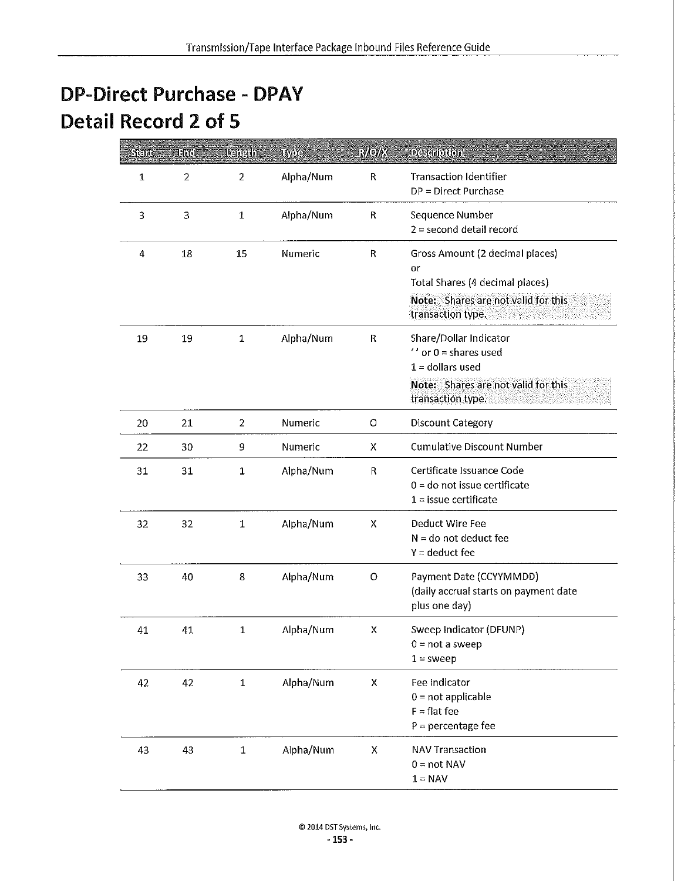## **DP-Direct Purchase - DPAY Detail Record 2 of 5**

| Stan | Hit            | <u>Isanah</u>  | ស្ត្រោះ   | <b>RAOVE</b> | Description                                                                                                                                |
|------|----------------|----------------|-----------|--------------|--------------------------------------------------------------------------------------------------------------------------------------------|
| 1    | $\overline{2}$ | 2              | Alpha/Num | R            | <b>Transaction Identifier</b><br>DP = Direct Purchase                                                                                      |
| 3    | 3              | $\mathbf 1$    | Alpha/Num | R            | Sequence Number<br>$2 =$ second detail record                                                                                              |
| 4    | 18             | 15             | Numeric   | ${\sf R}$    | Gross Amount (2 decimal places)<br>or<br>Total Shares (4 decimal places)<br>Note: Shares are not valid for this<br>transaction type.       |
| 19   | 19             | $\mathbf{1}$   | Alpha/Num | R            | Share/Dollar Indicator<br>$^{\prime}$ or 0 = shares used<br>$1 =$ dollars used<br>Note: Shares are not valid for this<br>transaction type. |
| 20   | 21             | $\overline{2}$ | Numeric   | O            | <b>Discount Category</b>                                                                                                                   |
| 22   | 30             | 9              | Numeric   | X            | <b>Cumulative Discount Number</b>                                                                                                          |
| 31   | 31             | 1              | Alpha/Num | R            | Certificate Issuance Code<br>$0 =$ do not issue certificate<br>$1 =$ issue certificate                                                     |
| 32   | 32             | 1              | Alpha/Num | Χ            | Deduct Wire Fee<br>$N =$ do not deduct fee<br>$Y =$ deduct fee                                                                             |
| 33   | 40             | 8              | Alpha/Num | O            | Payment Date (CCYYMMDD)<br>(daily accrual starts on payment date<br>plus one day)                                                          |
| 41   | 41             | $\mathbf 1$    | Alpha/Num | х            | Sweep Indicator (DFUNP)<br>$0 = not a sweep$<br>$1 =$ sweep                                                                                |
| 42   | 42             | $\mathbf 1$    | Alpha/Num | Χ            | Fee Indicator<br>$0 = not applicable$<br>$F = flat fee$<br>$P =$ percentage fee                                                            |
| 43   | 43             | $\mathbf 1$    | Alpha/Num | X            | <b>NAV Transaction</b><br>$0 = not NAV$<br>$1 = NAV$                                                                                       |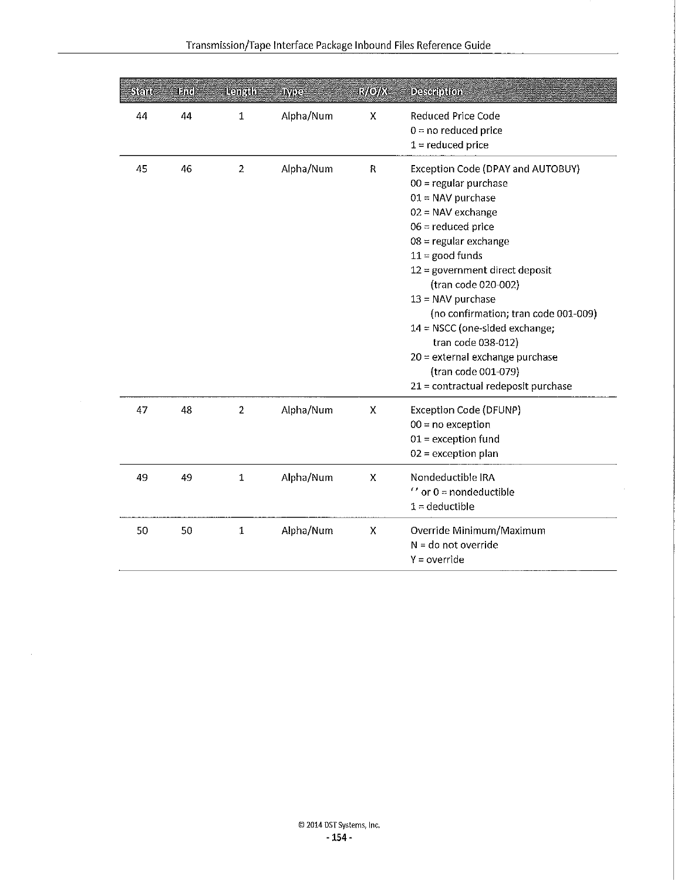| Seid | ENI | <b>Ranadh</b>  | <b>IMO-</b> | <b>Gylovice</b>           | <b>Deseroton</b>                                                                                                                                                                                                                                                                                                                                                                                                                                                          |
|------|-----|----------------|-------------|---------------------------|---------------------------------------------------------------------------------------------------------------------------------------------------------------------------------------------------------------------------------------------------------------------------------------------------------------------------------------------------------------------------------------------------------------------------------------------------------------------------|
| 44   | 44  | $\mathbf{1}$   | Alpha/Num   | X                         | Reduced Price Code<br>$0 = no$ reduced price<br>$1 =$ reduced price                                                                                                                                                                                                                                                                                                                                                                                                       |
| 45   | 46  | $\overline{2}$ | Alpha/Num   | R                         | Exception Code (DPAY and AUTOBUY)<br>$00 =$ regular purchase<br>$01 = NAV$ purchase<br>$02 = NAV$ exchange<br>$06 =$ reduced price<br>$08$ = regular exchange<br>$11 =$ good funds<br>$12$ = government direct deposit<br>(tran code 020-002)<br>$13 = NAV$ purchase<br>(no confirmation; tran code 001-009)<br>$14 = NSCC$ (one-sided exchange;<br>tran code 038-012)<br>20 = external exchange purchase<br>(tran code 001-079)<br>$21 =$ contractual redeposit purchase |
| 47   | 48  | $\overline{2}$ | Alpha/Num   | X                         | <b>Exception Code (DFUNP)</b><br>$00 = no exception$<br>$01 =$ exception fund<br>$02$ = exception plan                                                                                                                                                                                                                                                                                                                                                                    |
| 49   | 49  | $\mathbf{1}$   | Alpha/Num   | $\boldsymbol{\mathsf{x}}$ | Nondeductible IRA<br>$^{\prime\prime}$ or 0 = nondeductible<br>$1 =$ deductible                                                                                                                                                                                                                                                                                                                                                                                           |
| 50   | 50  | 1              | Alpha/Num   | $\pmb{\times}$            | Override Minimum/Maximum<br>$N =$ do not override<br>$Y = override$                                                                                                                                                                                                                                                                                                                                                                                                       |

 $\mathcal{L}$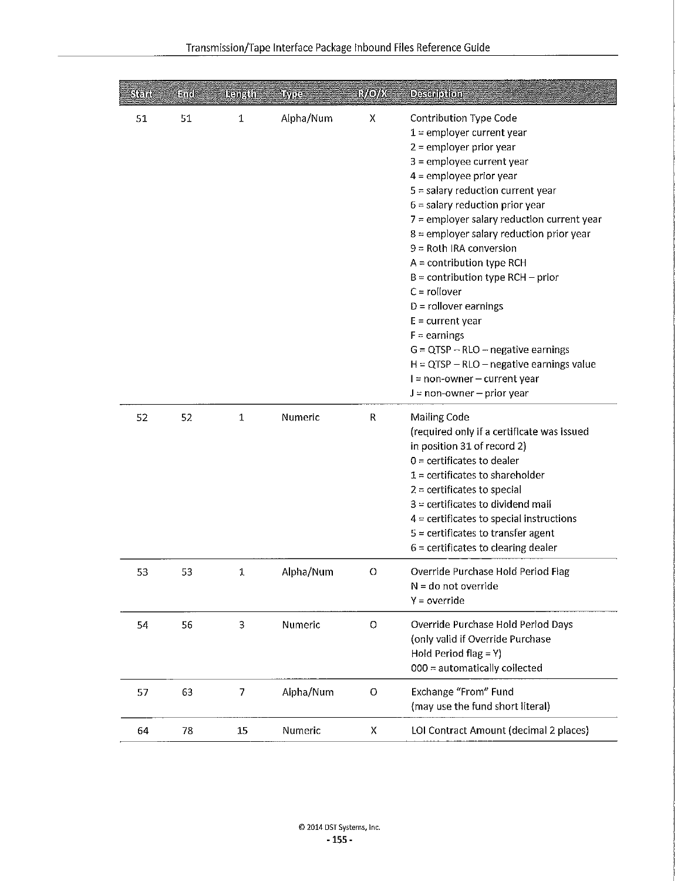| ડીનો | Eild | <b>Denedo</b> | IWU 1     | <b>Ryloyee</b> | <b>Description</b>                                                                                                                                                                                                                                                                                                                                                                                                                                                                                                                                                                                                                                                   |
|------|------|---------------|-----------|----------------|----------------------------------------------------------------------------------------------------------------------------------------------------------------------------------------------------------------------------------------------------------------------------------------------------------------------------------------------------------------------------------------------------------------------------------------------------------------------------------------------------------------------------------------------------------------------------------------------------------------------------------------------------------------------|
| 51   | 51   | $\mathbf{1}$  | Alpha/Num | Χ              | Contribution Type Code<br>$1$ = employer current year<br>2 = employer prior year<br>$3$ = employee current year<br>$4 =$ employee prior year<br>$5 =$ salary reduction current year<br>$6$ = salary reduction prior year<br>7 = employer salary reduction current year<br>$8$ = employer salary reduction prior year<br>$9 =$ Roth IRA conversion<br>$A =$ contribution type RCH<br>$B =$ contribution type RCH – prior<br>$C =$ rollover<br>$D =$ rollover earnings<br>$E = current year$<br>$F =$ earnings<br>$G = QTSP - RLO - negative earnings$<br>$H = QTSP - RLO - negative earnings value$<br>$I = non-owner - current year$<br>$J = non-owner - prior year$ |
| 52   | 52   | 1             | Numeric   | R              | Mailing Code<br>(required only if a certificate was issued<br>in position 31 of record 2)<br>$0 =$ certificates to dealer<br>$1$ = certificates to shareholder<br>$2$ = certificates to special<br>$3$ = certificates to dividend mail<br>$4$ = certificates to special instructions<br>$5$ = certificates to transfer agent<br>$6$ = certificates to clearing dealer                                                                                                                                                                                                                                                                                                |
| 53   | 53   | 1             | Alpha/Num | O              | Override Purchase Hold Period Flag<br>$N =$ do not override<br>$Y = override$                                                                                                                                                                                                                                                                                                                                                                                                                                                                                                                                                                                        |
| 54   | 56   | 3             | Numeric   | $\circ$        | Override Purchase Hold Period Days<br>(only valid if Override Purchase<br>Hold Period flag = $Y$ )<br>000 = automatically collected                                                                                                                                                                                                                                                                                                                                                                                                                                                                                                                                  |
| 57   | 63   | 7             | Alpha/Num | $\Omega$       | Exchange "From" Fund<br>(may use the fund short literal)                                                                                                                                                                                                                                                                                                                                                                                                                                                                                                                                                                                                             |
| 64   | 78   | 15            | Numeric   | x              | LOI Contract Amount (decimal 2 places)                                                                                                                                                                                                                                                                                                                                                                                                                                                                                                                                                                                                                               |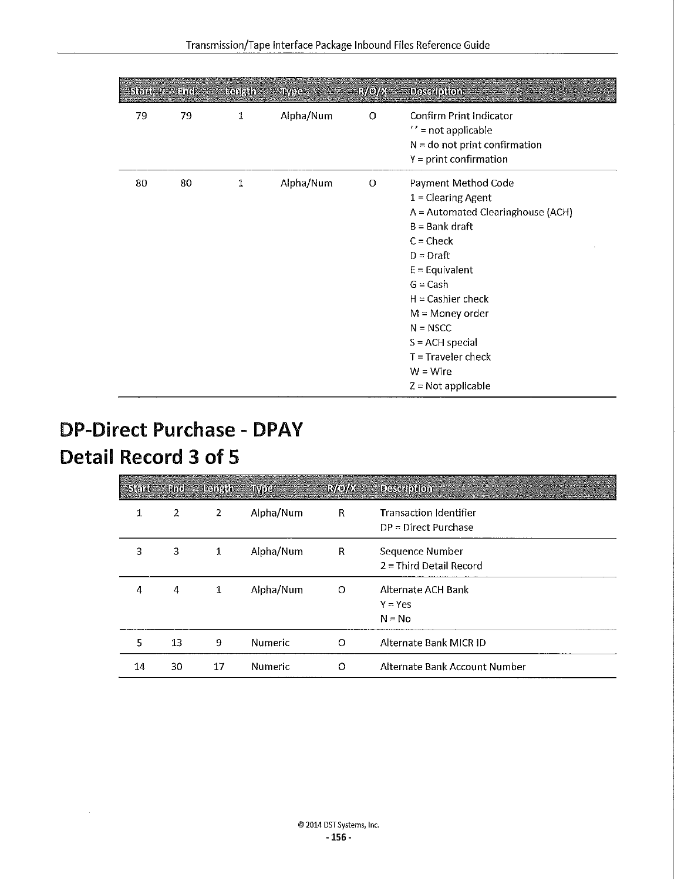| Stad | 团的 | <b>Astral</b> | Type      | <b>EMOVE</b> | <b>Description</b>                                                                                                                                                                                                                                                                                                |
|------|----|---------------|-----------|--------------|-------------------------------------------------------------------------------------------------------------------------------------------------------------------------------------------------------------------------------------------------------------------------------------------------------------------|
| 79   | 79 | $\mathbf 1$   | Alpha/Num | O            | Confirm Print Indicator<br>$\prime$ = not applicable<br>$N =$ do not print confirmation<br>$Y = print$ confirmation                                                                                                                                                                                               |
| 80   | 80 | ${\bf 1}$     | Alpha/Num | O            | Payment Method Code<br>$1 =$ Clearing Agent<br>A = Automated Clearinghouse (ACH)<br>$B = Bank$ draft<br>$C = Check$<br>$D = Draff$<br>$E =$ Equivalent<br>$G = Cash$<br>$H =$ Cashier check<br>$M =$ Money order<br>$N = NSCC$<br>$S = ACH special$<br>$T =$ Traveler check<br>$W = Wire$<br>$Z = Not applicable$ |

## **DP-Direct Purchase - DPAY Detail Record 3 of 5**

| <b>Skide</b> | Ence | <b>Temaths</b> | <b>INTO-E</b>  | <b>RAOVE</b> | The control of the control of the control of the control of the control of the control of the control of the control of the control of the control of the control of the control of the control of the control of the control<br><b>Desertion</b><br><u>a shekara ta 1999 a </u> |
|--------------|------|----------------|----------------|--------------|----------------------------------------------------------------------------------------------------------------------------------------------------------------------------------------------------------------------------------------------------------------------------------|
| 1            | 2    | 2              | Alpha/Num      | R            | <b>Transaction Identifier</b><br>$DP = Direct$ Purchase                                                                                                                                                                                                                          |
| 3            | 3    | 1              | Alpha/Num      | R            | Sequence Number<br>$2 =$ Third Detail Record                                                                                                                                                                                                                                     |
| 4            | 4    | $\mathbf 1$    | Alpha/Num      | $\circ$      | Alternate ACH Bank<br>$Y = Yes$<br>$N = No$                                                                                                                                                                                                                                      |
| 5            | 13   | 9              | Numeric        | O            | Alternate Bank MICR ID                                                                                                                                                                                                                                                           |
| 14           | 30   | 17             | <b>Numeric</b> | $\Omega$     | Alternate Bank Account Number                                                                                                                                                                                                                                                    |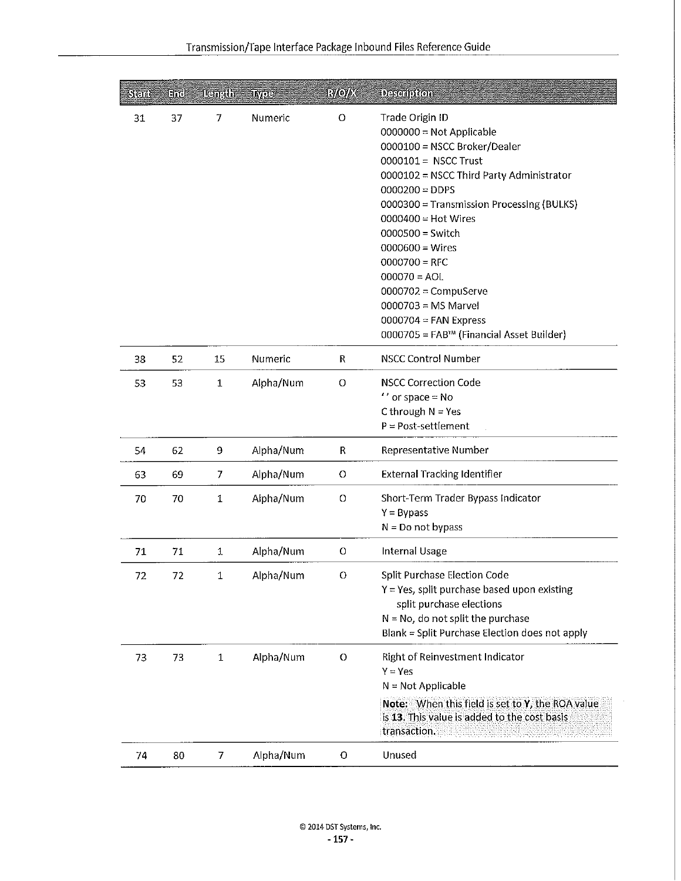| Stine | Encl   | <b>Length</b> | <b>IMPIO</b> | <b>EXORS</b> | Descalption                                                                                                                                                                                                                                                                                                                                                                                                                                        |
|-------|--------|---------------|--------------|--------------|----------------------------------------------------------------------------------------------------------------------------------------------------------------------------------------------------------------------------------------------------------------------------------------------------------------------------------------------------------------------------------------------------------------------------------------------------|
| 31    | 37     | 7             | Numeric      | $\circ$      | Trade Origin ID<br>$0000000 = Not Applied$<br>0000100 = NSCC Broker/Dealer<br>0000101 = NSCC Trust<br>0000102 = NSCC Third Party Administrator<br>$0000200 = DDFS$<br>0000300 = Transmission Processing (BULKS)<br>$0000400 = Hot Wires$<br>$0000500 =$ Switch<br>$0000600 = Wires$<br>$0000700 = RFC$<br>$000070 = AOL$<br>$0000702 =$ CompuServe<br>$0000703$ = MS Marvel<br>$0000704$ = FAN Express<br>0000705 = FAB™ (Financial Asset Builder) |
| 38    | 52     | 15            | Numeric      | R            | <b>NSCC Control Number</b>                                                                                                                                                                                                                                                                                                                                                                                                                         |
| 53    | 53     | 1             | Alpha/Num    | O            | <b>NSCC Correction Code</b><br>$^{\prime\prime}$ or space = No<br>C through $N = Yes$<br>$P = Post-setelement$                                                                                                                                                                                                                                                                                                                                     |
| 54    | 62     | 9             | Alpha/Num    | R            | <b>Representative Number</b>                                                                                                                                                                                                                                                                                                                                                                                                                       |
| 63    | 69     | 7             | Alpha/Num    | $\circ$      | <b>External Tracking Identifier</b>                                                                                                                                                                                                                                                                                                                                                                                                                |
| 70    | 70     | ${\bf 1}$     | Alpha/Num    | O            | Short-Term Trader Bypass Indicator<br>$Y = Bypass$<br>$N = Do$ not bypass                                                                                                                                                                                                                                                                                                                                                                          |
| 71    | 71     | 1             | Alpha/Num    | 0            | Internal Usage                                                                                                                                                                                                                                                                                                                                                                                                                                     |
| 72    | $72\,$ | $\mathbf 1$   | Alpha/Num    | 0            | Split Purchase Election Code<br>Y = Yes, split purchase based upon existing<br>split purchase elections<br>$N = No$ , do not split the purchase<br>Blank = Split Purchase Election does not apply                                                                                                                                                                                                                                                  |
| 73    | 73     | $\mathbf{1}$  | Alpha/Num    | O            | Right of Reinvestment Indicator<br>$Y = Yes$<br>$N = Not Applicable$<br>Note: When this field is set to Y, the ROA value<br>is 13. This value is added to the cost basis<br>transaction.                                                                                                                                                                                                                                                           |
| 74    | 80     | 7             | Alpha/Num    | 0            | Unused                                                                                                                                                                                                                                                                                                                                                                                                                                             |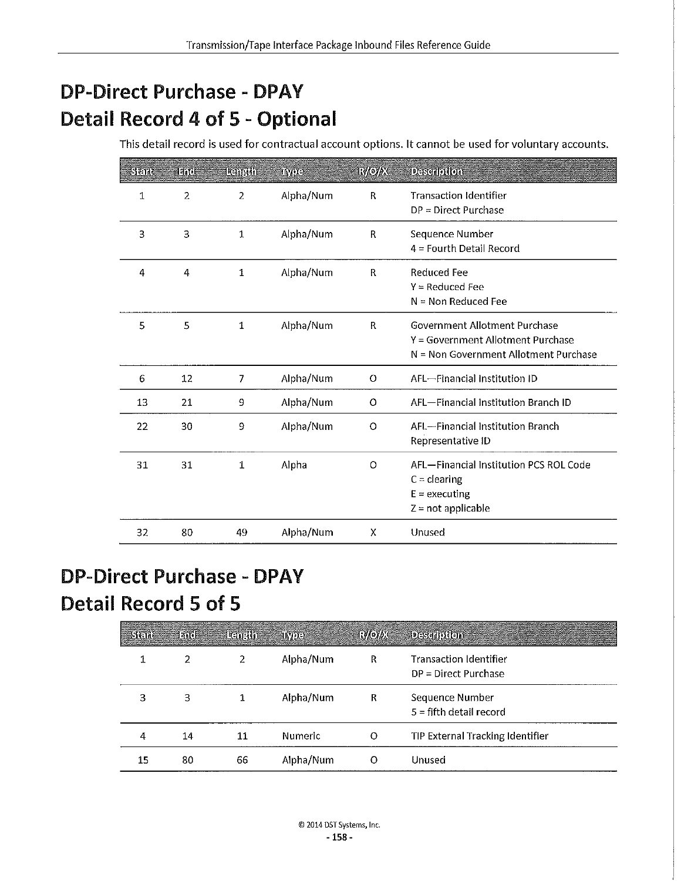## **DP-Direct Purchase - DPAV Detail Record 4 of 5** - **Optional**

This detail record is used for contractual account options. It cannot be used for voluntary accounts.

| Still | 1 Tatol        | <b>Lead Add</b> | IMOEI     | <b>Ry/oybx</b> | <b>DESCRIPTION</b>                                                                                          |
|-------|----------------|-----------------|-----------|----------------|-------------------------------------------------------------------------------------------------------------|
| 1     | $\overline{a}$ | 2               | Alpha/Num | R              | <b>Transaction Identifier</b><br>$DP = Direct$ Purchase                                                     |
| 3     | 3              | 1               | Alpha/Num | $\mathsf{R}$   | Sequence Number<br>$4$ = Fourth Detail Record                                                               |
| 4     | 4              | 1               | Alpha/Num | R              | <b>Reduced Fee</b><br>$Y = Reduced Fee$<br>$N = Non Reduceed Fee$                                           |
| 5     | 5              | 1               | Alpha/Num | R              | Government Allotment Purchase<br>Y = Government Allotment Purchase<br>N = Non Government Allotment Purchase |
| 6     | 12             | 7               | Alpha/Num | $\circ$        | AFL-Financial Institution ID                                                                                |
| 13    | 21             | 9               | Alpha/Num | $\circ$        | AFL-Financial Institution Branch ID                                                                         |
| 22    | 30             | 9               | Alpha/Num | O              | AFL-Financial Institution Branch<br>Representative ID                                                       |
| 31    | 31             | 1               | Alpha     | O              | AFL-Financial Institution PCS ROL Code<br>$C =$ clearing<br>$E =$ executing<br>$Z = not applicable$         |
| 32    | 80             | 49              | Alpha/Num | Χ              | Unused                                                                                                      |

## **DP-Direct Purchase - DPAV Detail Record 5 of 5**

| Sal | The | <b>Temaha</b> | <b>ANDER</b>   | <b>TAGAYES</b> | <b>Contract Contract Contract Contract Contract Contract Contract Contract Contract Contract Contract Contract Contract Contract Contract Contract Contract Contract Contract Contract Contract Contract Contract Contract Contr</b><br><b>Desemblion</b> |
|-----|-----|---------------|----------------|----------------|-----------------------------------------------------------------------------------------------------------------------------------------------------------------------------------------------------------------------------------------------------------|
|     | 2   | 2             | Alpha/Num      | R              | <b>Transaction Identifier</b><br>$DP = Direct$ Purchase                                                                                                                                                                                                   |
| 3   | 3   |               | Alpha/Num      | R              | Sequence Number<br>$5 =$ fifth detail record                                                                                                                                                                                                              |
| 4   | 14  | 11            | <b>Numeric</b> | O              | TIP External Tracking Identifier                                                                                                                                                                                                                          |
| 15  | 80  | 66            | Alpha/Num      |                | Unused                                                                                                                                                                                                                                                    |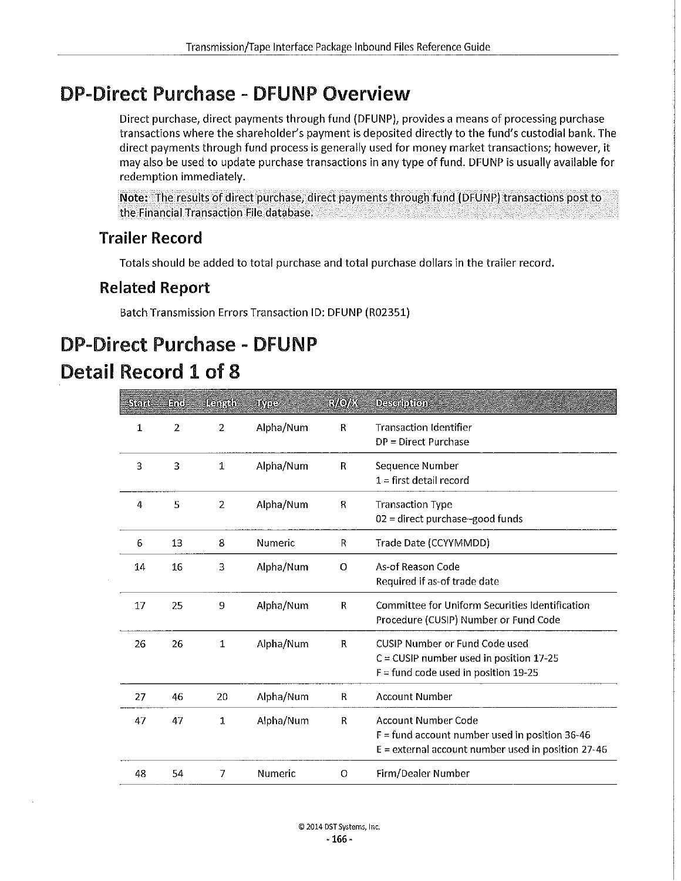## **DP-Direct Purchase** - **DFUNP Overview**

Direct purchase, direct payments through fund (DFUNP), provides a means of processing purchase transactions where the shareholder's payment is deposited directly to the fund's custodial bank. The direct payments through fund process is generally used for money market transactions; however, it may also be used to update purchase transactions in any type of fund. DFUNP is usually available for redemption immediately.

**Note;** The results of direct purchase, direct payments through fund (DFUNP) transactions post to the Financial Transaction File database.

## **Trailer Record**

Totals should be added to total purchase and total purchase dollars in the trailer record.

## **Related Report**

Batch Transmission Errors Transaction ID: DFUNP (R02351)

## **DP-Direct Purchase** - **DFUNP Detail Record 1 of 8**

| Steid | Em             | <u> Kanada</u> | บทออ      | <b>EMOVE</b>   | <b>Description</b>                                                                                                              |
|-------|----------------|----------------|-----------|----------------|---------------------------------------------------------------------------------------------------------------------------------|
| 1     | $\overline{2}$ | $\overline{2}$ | Alpha/Num | R              | <b>Transaction Identifier</b><br>$DP = Direct$ Purchase                                                                         |
| 3     | 3              | 1              | Alpha/Num | R              | Sequence Number<br>$1 =$ first detail record                                                                                    |
| 4     | 5              | $\overline{c}$ | Alpha/Num | $\mathbf R$    | <b>Transaction Type</b><br>$02$ = direct purchase-good funds                                                                    |
| 6     | 13             | 8              | Numeric   | R              | Trade Date (CCYYMMDD)                                                                                                           |
| 14    | 16             | 3              | Alpha/Num | $\overline{O}$ | As-of Reason Code<br>Required if as-of trade date                                                                               |
| 17    | 25             | 9              | Alpha/Num | R              | Committee for Uniform Securities Identification<br>Procedure (CUSIP) Number or Fund Code                                        |
| 26    | 26             | $\mathbf{1}$   | Alpha/Num | $\mathbf R$    | CUSIP Number or Fund Code used<br>$C = CUSIP$ number used in position 17-25<br>$F =$ fund code used in position 19-25           |
| 27    | 46             | 20             | Alpha/Num | R              | <b>Account Number</b>                                                                                                           |
| 47    | 47             | 1              | Alpha/Num | R.             | Account Number Code<br>$F =$ fund account number used in position 36-46<br>$E =$ external account number used in position 27-46 |
| 48    | 54             | $\overline{7}$ | Numeric   | $\circ$        | Firm/Dealer Number                                                                                                              |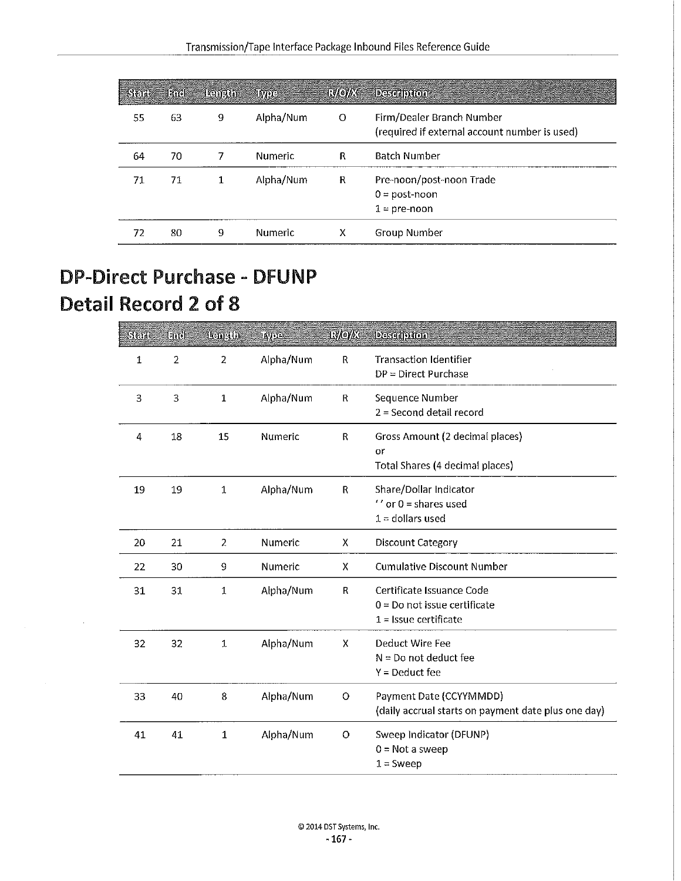| <b>SER</b> |    | End Rength | <b>INVOCE</b> | <b>EMOIL</b> | <b>Designation</b>                                                         |
|------------|----|------------|---------------|--------------|----------------------------------------------------------------------------|
| 55         | 63 | 9          | Alpha/Num     | $\circ$      | Firm/Dealer Branch Number<br>(required if external account number is used) |
| 64         | 70 |            | Numeric       | R            | <b>Batch Number</b>                                                        |
| 71         | 71 |            | Alpha/Num     | R            | Pre-noon/post-noon Trade<br>$0 = post-noon$<br>$1$ = pre-noon              |
| 72.        | 80 | 9          | Numeric       | х            | Group Number                                                               |

## **DP-Direct Purchase** - **DFUNP Detail Record 2 of 8**

| Sterite | Ħú             | <b>Demath</b>  | <b>LOVER</b> | 1://e//X    | <b>Desemption</b>                                                                      |
|---------|----------------|----------------|--------------|-------------|----------------------------------------------------------------------------------------|
| 1       | $\overline{2}$ | $\overline{a}$ | Alpha/Num    | R           | <b>Transaction Identifier</b><br>$DP = Direct$ Purchase                                |
| З       | 3              | $\mathbf 1$    | Alpha/Num    | R           | Sequence Number<br>$2 =$ Second detail record                                          |
| 4       | 18             | 15             | Numeric      | $\mathsf R$ | Gross Amount (2 decimal places)<br>or<br>Total Shares (4 decimal places)               |
| 19      | 19             | $1\,$          | Alpha/Num    | R           | Share/Dollar Indicator<br>$'$ or $0$ = shares used<br>$1 =$ dollars used               |
| 20      | 21             | 2              | Numeric      | X           | Discount Category                                                                      |
| 22      | 30             | 9              | Numeric      | Χ           | <b>Cumulative Discount Number</b>                                                      |
| 31      | 31             | $\mathbf 1$    | Alpha/Num    | R           | Certificate Issuance Code<br>$0 = Do$ not issue certificate<br>$1 =$ Issue certificate |
| 32      | 32             | $\mathbf{1}$   | Alpha/Num    | X           | Deduct Wire Fee<br>$N = Do$ not deduct fee<br>$Y = Deduct fee$                         |
| 33      | 40             | 8              | Alpha/Num    | O           | Payment Date (CCYYMMDD)<br>(daily accrual starts on payment date plus one day)         |
| 41      | 41             | $\mathbf 1$    | Alpha/Num    | O           | Sweep Indicator (DFUNP)<br>$0 = Not$ a sweep<br>$1 =$ Sweep                            |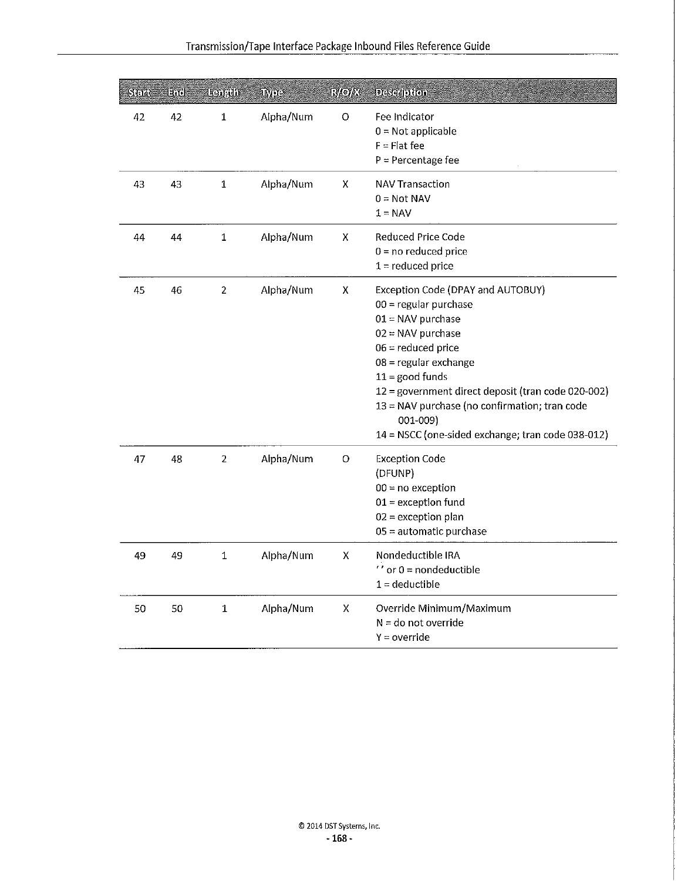| $\operatorname{Stil}_2$ | Hîd | <b>Banadh</b>    | TYPES     | <b>RAOK</b> | <b>Desertoion</b>                                                                                                                                                                                                                                                                                                                                        |
|-------------------------|-----|------------------|-----------|-------------|----------------------------------------------------------------------------------------------------------------------------------------------------------------------------------------------------------------------------------------------------------------------------------------------------------------------------------------------------------|
| 42                      | 42  | 1                | Alpha/Num | O           | Fee Indicator<br>$0 = Not$ applicable<br>$F = Flat fee$<br>$P = Percentage fee$                                                                                                                                                                                                                                                                          |
| 43                      | 43  | $\mathbf 1$      | Alpha/Num | X           | <b>NAV Transaction</b><br>$0 = Not NAV$<br>$1 = NAV$                                                                                                                                                                                                                                                                                                     |
| 44                      | 44  | 1                | Alpha/Num | X           | Reduced Price Code<br>$0 = no$ reduced price<br>$1 =$ reduced price                                                                                                                                                                                                                                                                                      |
| 45                      | 46  | $\boldsymbol{2}$ | Alpha/Num | Χ           | Exception Code (DPAY and AUTOBUY)<br>$00 =$ regular purchase<br>$01 = NAV$ purchase<br>$02 = NAV$ purchase<br>$06 =$ reduced price<br>08 = regular exchange<br>$11 =$ good funds<br>12 = government direct deposit (tran code 020-002)<br>13 = NAV purchase (no confirmation; tran code<br>001-009)<br>14 = NSCC (one-sided exchange; tran code 038-012) |
| 47                      | 48  | $\overline{2}$   | Alpha/Num | O           | <b>Exception Code</b><br>(DFUNP)<br>$00 = no exception$<br>$01$ = exception fund<br>$02$ = exception plan<br>05 = automatic purchase                                                                                                                                                                                                                     |
| 49                      | 49  | $\mathbf{1}$     | Alpha/Num | x           | Nondeductible IRA<br>$^{\prime\prime}$ or 0 = nondeductible<br>$1 =$ deductible                                                                                                                                                                                                                                                                          |
| 50                      | 50  | $\mathbf{1}$     | Alpha/Num | x           | Override Minimum/Maximum<br>$N =$ do not override<br>$Y = override$                                                                                                                                                                                                                                                                                      |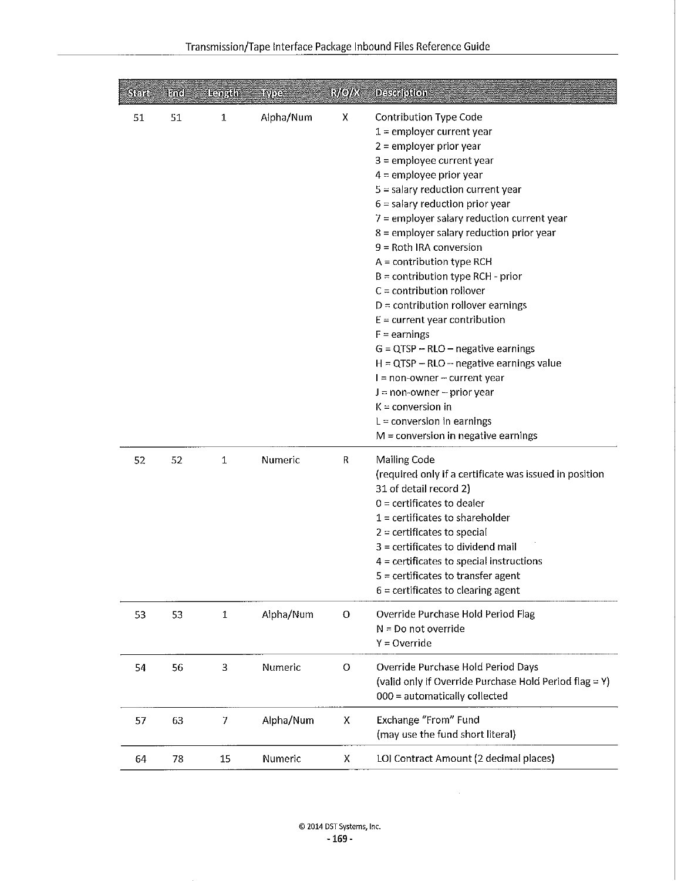| $\overline{\rm Steth}$ | lari | <b>Isonyin</b>                                        | <b>TAGE</b> | <b>RAOTE</b> | <b>Desedodon</b>                                                                                                                                                                                                                                                                                                                                                                                                                                                                                                                                                                                                                                                                                                                                                                                              |
|------------------------|------|-------------------------------------------------------|-------------|--------------|---------------------------------------------------------------------------------------------------------------------------------------------------------------------------------------------------------------------------------------------------------------------------------------------------------------------------------------------------------------------------------------------------------------------------------------------------------------------------------------------------------------------------------------------------------------------------------------------------------------------------------------------------------------------------------------------------------------------------------------------------------------------------------------------------------------|
| 51                     | 51   | $\mathbf{1}% _{T}=\mathbf{1}_{T}\times\mathbf{1}_{T}$ | Alpha/Num   | x            | Contribution Type Code<br>$1$ = employer current year<br>$2$ = employer prior year<br>$3$ = employee current year<br>$4$ = employee prior year<br>$5$ = salary reduction current year<br>$6$ = salary reduction prior year<br>$7$ = employer salary reduction current year<br>8 = employer salary reduction prior year<br>$9 =$ Roth IRA conversion<br>$A =$ contribution type RCH<br>$B =$ contribution type RCH - prior<br>$C =$ contribution rollover<br>$D =$ contribution rollover earnings<br>$E =$ current year contribution<br>$F =$ earnings<br>$G = QTSP - RLO - negative earnings$<br>$H = QTSP - RLO - negative earnings value$<br>$I = non-owner - current year$<br>$J = non-owner - prior year$<br>$K =$ conversion in<br>$L =$ conversion in earnings<br>$M =$ conversion in negative earnings |
| 52                     | 52   | $\mathbf 1$                                           | Numeric     | R            | Mailing Code<br>(required only if a certificate was issued in position<br>31 of detail record 2)<br>$0$ = certificates to dealer<br>$1$ = certificates to shareholder<br>$2$ = certificates to special<br>$3$ = certificates to dividend mail<br>$4$ = certificates to special instructions<br>$5$ = certificates to transfer agent<br>$6$ = certificates to clearing agent                                                                                                                                                                                                                                                                                                                                                                                                                                   |
| 53                     | 53   | 1                                                     | Alpha/Num   | O            | Override Purchase Hold Period Flag<br>$N = Do$ not override<br>$Y = Override$                                                                                                                                                                                                                                                                                                                                                                                                                                                                                                                                                                                                                                                                                                                                 |
| 54                     | 56   | 3                                                     | Numeric     | O            | Override Purchase Hold Period Days<br>(valid only if Override Purchase Hold Period flag = Y)<br>000 = automatically collected                                                                                                                                                                                                                                                                                                                                                                                                                                                                                                                                                                                                                                                                                 |
| 57                     | 63   | 7                                                     | Alpha/Num   | x            | Exchange "From" Fund<br>(may use the fund short literal)                                                                                                                                                                                                                                                                                                                                                                                                                                                                                                                                                                                                                                                                                                                                                      |
| 64                     | 78   | $15\,$                                                | Numeric     | x            | LOI Contract Amount (2 decimal places)                                                                                                                                                                                                                                                                                                                                                                                                                                                                                                                                                                                                                                                                                                                                                                        |

 $\hat{\mathcal{A}}$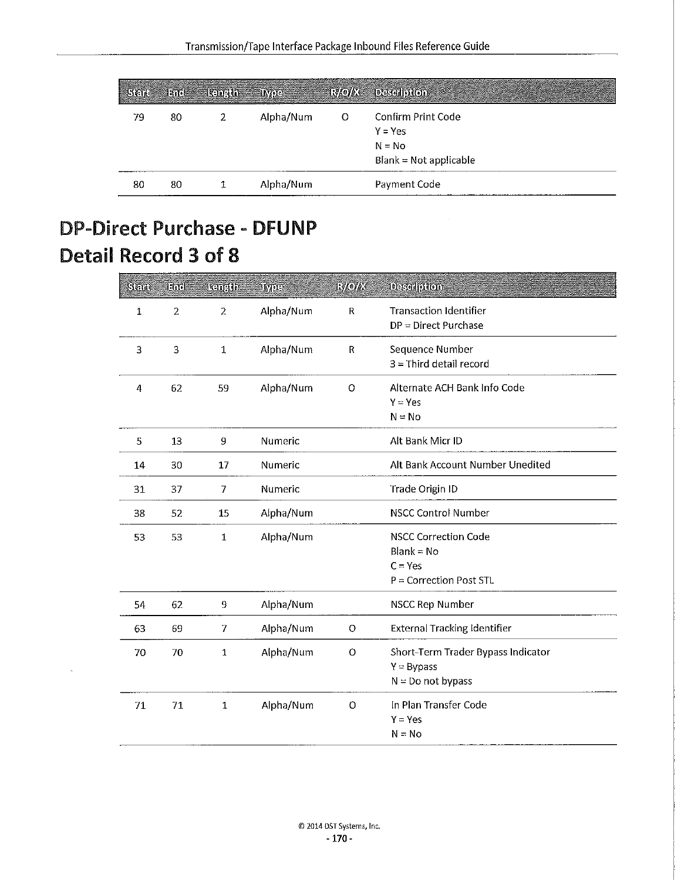|    |    | Statt End   kength Tiype |           |   | R/O/X Description                                                        |
|----|----|--------------------------|-----------|---|--------------------------------------------------------------------------|
| 79 | 80 | 2                        | Alpha/Num | O | Confirm Print Code<br>$Y = Yes$<br>$N = No$<br>$B$ lank = Not applicable |
| 80 | 80 |                          | Alpha/Num |   | Payment Code                                                             |

## **DP-Direct Purchase - DFUNP Detail Record 3 of 8**

| Sen          | Hod            | Ranath         | uvos      | <b>HOW</b>  | <b>Description</b>                                                                    |
|--------------|----------------|----------------|-----------|-------------|---------------------------------------------------------------------------------------|
| $\mathbf{1}$ | $\overline{2}$ | $\overline{2}$ | Alpha/Num | ${\sf R}$   | <b>Transaction Identifier</b><br>$DP = Direct$ Purchase                               |
| 3            | 3              | $\mathbf 1$    | Alpha/Num | $\mathsf R$ | Sequence Number<br>$3$ = Third detail record                                          |
| 4            | 62             | 59             | Alpha/Num | $\circ$     | Alternate ACH Bank Info Code<br>$Y = Yes$<br>$N = No$                                 |
| 5            | 13             | 9              | Numeric   |             | Alt Bank Micr ID                                                                      |
| 14           | 30             | 17             | Numeric   |             | Alt Bank Account Number Unedited                                                      |
| 31           | 37             | 7              | Numeric   |             | Trade Origin ID                                                                       |
| 38           | 52             | 15             | Alpha/Num |             | <b>NSCC Control Number</b>                                                            |
| 53           | 53             | $\mathbf 1$    | Alpha/Num |             | <b>NSCC Correction Code</b><br>$Blank = No$<br>$C = Yes$<br>$P =$ Correction Post STL |
| 54           | 62             | 9              | Alpha/Num |             | NSCC Rep Number                                                                       |
| 63           | 69             | 7              | Alpha/Num | $\circ$     | <b>External Tracking Identifier</b>                                                   |
| 70           | 70             | 1              | Alpha/Num | $\circ$     | Short-Term Trader Bypass Indicator<br>$Y = Bypass$<br>$N = Do$ not bypass             |
| 71           | 71             | $\mathbf 1$    | Alpha/Num | $\circ$     | In Plan Transfer Code<br>$Y = Yes$<br>$N = No$                                        |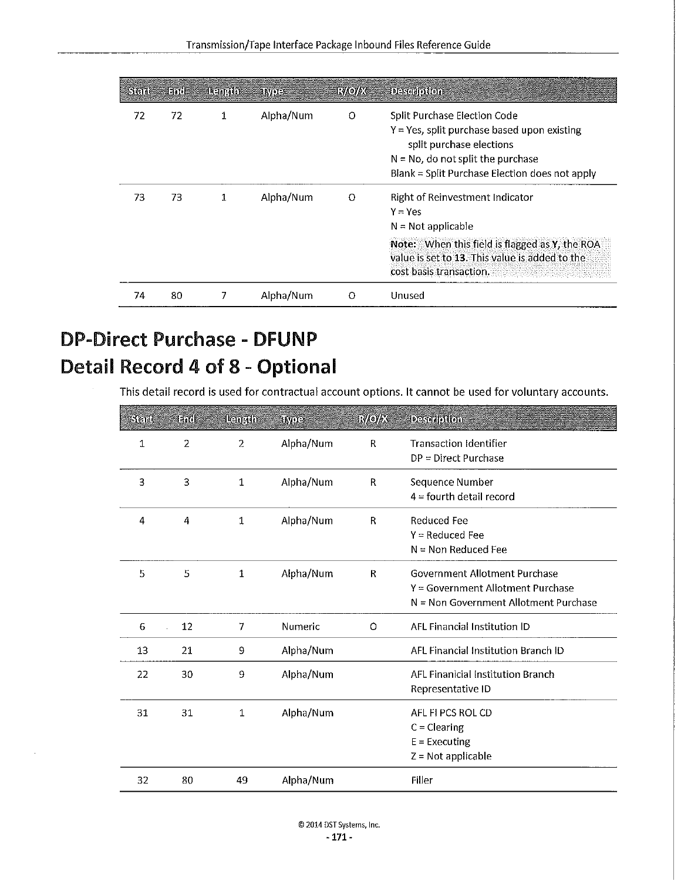| <b>Astric</b> | Eme | <b>Kanada</b> | <b>ANDO</b> | <b>EVAOYA</b> | <b>Description</b>                                                                                                                                                                                   |
|---------------|-----|---------------|-------------|---------------|------------------------------------------------------------------------------------------------------------------------------------------------------------------------------------------------------|
| 72            | 72  | 1             | Alpha/Num   | $\Omega$      | Split Purchase Election Code<br>$Y = Yes$ , split purchase based upon existing<br>split purchase elections<br>$N = No$ , do not split the purchase<br>Blank = Split Purchase Election does not apply |
| 73            | 73  | 1             | Alpha/Num   | $\Omega$      | Right of Reinvestment Indicator<br>$Y = Yes$<br>$N = Not$ applicable                                                                                                                                 |
|               |     |               |             |               | Note: When this field is flagged as Y, the ROA<br>value is set to 13. This value is added to the<br>cost basis transaction.                                                                          |
| 74            | 80  |               | Alpha/Num   | ∩             | Unused                                                                                                                                                                                               |

## **DP-Direct Purchase - DFUNP Detail Record 4 of 8 - Optional**

This detail record is used for contractual account options. It cannot be used for voluntary accounts.

| Stel | Ent            | <b>Lemada</b>  | etiva     | <b>EMOR'S</b> | <b>Description</b>                                                                                          |
|------|----------------|----------------|-----------|---------------|-------------------------------------------------------------------------------------------------------------|
| 1    | $\overline{2}$ | $\overline{2}$ | Alpha/Num | R             | <b>Transaction Identifier</b><br>$DP = Direct$ Purchase                                                     |
| 3    | 3              | $\mathbf{1}$   | Alpha/Num | R             | Sequence Number<br>$4 =$ fourth detail record                                                               |
| 4    | 4              | 1              | Alpha/Num | R             | Reduced Fee<br>$Y = Reduced Fee$<br>$N = Non$ Reduced Fee                                                   |
| 5    | 5              | $\mathbf{1}$   | Alpha/Num | $\mathsf{R}$  | Government Allotment Purchase<br>Y = Government Allotment Purchase<br>N = Non Government Allotment Purchase |
| 6    | 12             | 7              | Numeric   | O             | AFL Financial Institution ID                                                                                |
| 13   | 21             | 9              | Alpha/Num |               | AFL Financial Institution Branch ID                                                                         |
| 22   | 30             | 9              | Alpha/Num |               | AFL Finanicial Institution Branch<br>Representative ID                                                      |
| 31   | 31             | 1              | Alpha/Num |               | AFL FI PCS ROL CD<br>$C = Clearing$<br>$E = Execting$<br>$Z = Not applicable$                               |
| 32   | 80             | 49             | Alpha/Num |               | Filler                                                                                                      |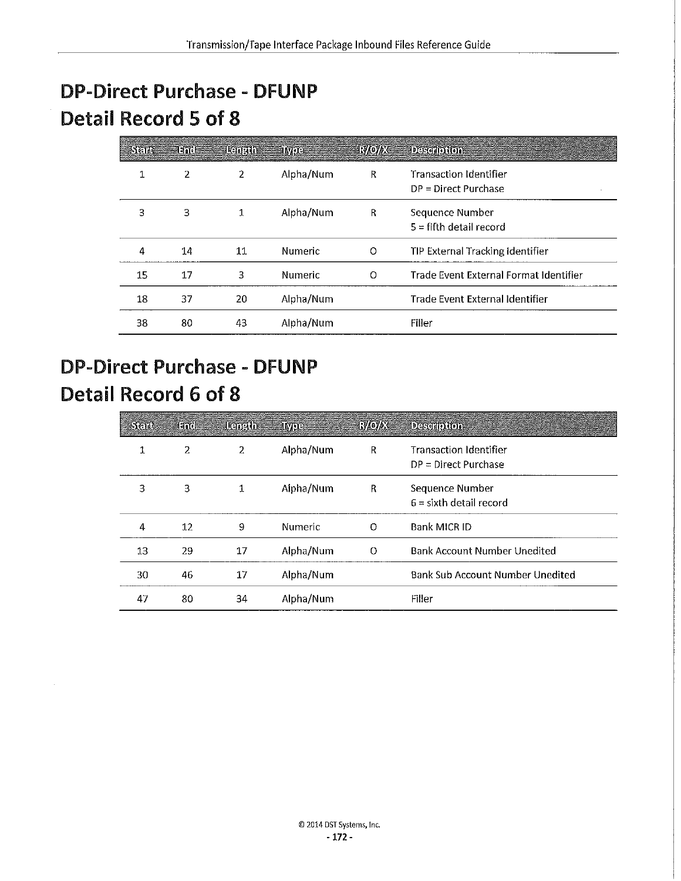## **DP-Direct Purchase - DFUNP Detail Record 5 of 8**

| ाना | Hn:I | <b>READER</b>  | <b>INTO .</b> | <b>RAOYE</b> | <b>Desemblion</b>                                       |
|-----|------|----------------|---------------|--------------|---------------------------------------------------------|
| 1   | 2    | $\overline{2}$ | Alpha/Num     | $\mathsf{R}$ | <b>Transaction Identifier</b><br>$DP = Direct$ Purchase |
| 3   | 3    | 1              | Alpha/Num     | R            | Sequence Number<br>$5 =$ fifth detail record            |
| 4   | 14   | 11             | Numeric       | O            | TIP External Tracking Identifier                        |
| 15  | 17   | 3              | Numeric       | O            | Trade Event External Format Identifier                  |
| 18  | 37   | 20             | Alpha/Num     |              | Trade Event External Identifier                         |
| 38  | 80   | 43             | Alpha/Num     |              | Filler                                                  |

## **DP-Direct Purchase - DFUNP Detail Record 6 of 8**

| នោត | Ent | Hanath | CEIME     | ГМоње | Description                                             |
|-----|-----|--------|-----------|-------|---------------------------------------------------------|
| 1   | 2   | 2      | Alpha/Num | R     | <b>Transaction Identifier</b><br>$DP = Direct$ Purchase |
| 3   | 3   | 1      | Alpha/Num | R     | Sequence Number<br>$6 =$ sixth detail record            |
| 4   | 12  | 9      | Numeric   | O     | Bank MICR ID                                            |
| 13  | 29  | 17     | Alpha/Num | Ω     | <b>Bank Account Number Unedited</b>                     |
| 30  | 46  | 17     | Alpha/Num |       | Bank Sub Account Number Unedited                        |
| 47  | 80  | 34     | Alpha/Num |       | Filler                                                  |